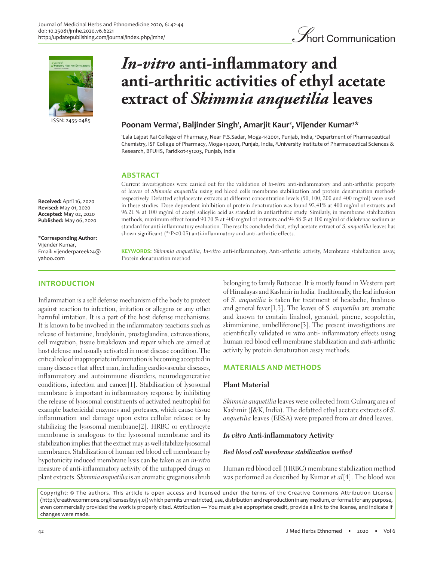



ISSN: 2455-0485

**Received:** April 16, 2020 **Revised:** May 01, 2020 **Accepted:** May 02, 2020 **Published:** May 06, 2020

**\*Corresponding Author:** Vijender Kumar, Email: vijenderpareek24@ yahoo.com

# **INTRODUCTION**

*In-vitro* **anti-inflammatory and anti-arthritic activities of ethyl acetate extract of** *Skimmia anquetilia* **leaves**

# Poonam Verma<sup>1</sup>, Baljinder Singh<sup>1</sup>, Amarjit Kaur<sup>2</sup>, Vijender Kumar<sup>3\*</sup>

'Lala Lajpat Rai College of Pharmacy, Near P.S.Sadar, Moga-142001, Punjab, India, <sup>2</sup>Department of Pharmaceutical Chemistry, ISF College of Pharmacy, Moga-142001, Punjab, India, 3 University Institute of Pharmaceutical Sciences & Research, BFUHS, Faridkot-151203, Punjab, India

# **ABSTRACT**

Current investigations were carried out for the validation of in-vitro anti-inflammatory and anti-arthritic property of leaves of Skimmia anquetilia using red blood cells membrane stabilization and protein denaturation methods respectively. Defatted ethylacetate extracts at different concentration levels (50, 100, 200 and 400 mg/ml) were used in these studies. Dose dependent inhibition of protein denaturation was found 92.41% at 400 mg/ml of extracts and 96.21 % at 100 mg/ml of acetyl salicylic acid as standard in antiarthritic study. Similarly, in membrane stabilization methods, maximum effect found 90.70 % at 400 mg/ml of extracts and 94.88 % at 100 mg/ml of diclofenac sodium as standard for anti-inflammatory evaluation. The results concluded that, ethyl acetate extract of S. anquetilia leaves has shown significant (\*a P<0.05) anti-inflammatory and anti-arthritic effects.

**KEYWORDS:** Skimmia anquetilia, In-vitro anti-inflammatory, Anti-arthritic activity, Membrane stabilization assay, Protein denaturation method

Inflammation is a self defense mechanism of the body to protect against reaction to infection, irritation or allegens or any other harmful irritation. It is a part of the host defense mechanisms. It is known to be involved in the inflammatory reactions such as release of histamine, bradykinin, prostaglandins, extravasations, cell migration, tissue breakdown and repair which are aimed at host defense and usually activated in most disease condition. The critical role of inappropriate inflammation is becoming accepted in many diseases that affect man, including cardiovascular diseases, inflammatory and autoimmune disorders, neurodegenerative conditions, infection and cancer[1]. Stabilization of lysosomal membrane is important in inflammatory response by inhibiting the release of lysosomal constituents of activated neutrophil for example bactericidal enzymes and proteases, which cause tissue inflammation and damage upon extra cellular release or by stabilizing the lysosomal membrane[2]. HRBC or erythrocyte membrane is analogous to the lysosomal membrane and its stabilization implies that the extract may as well stabilize lysosomal membranes. Stabilization of human red blood cell membrane by hypotonicity induced membrane lysis can be taken as an in-vitro measure of anti-inflammatory activity of the untapped drugs or plant extracts. Skimmia anquetilia is an aromatic gregarious shrub belonging to family Rutaceae. It is mostly found in Western part of Himalayas and Kashmir in India. Traditionally, the leaf infusion of S. anquetilia is taken for treatment of headache, freshness and general fever[1,3]. The leaves of S. anquetilia are aromatic and known to contain linalool, geraniol, pinene, scopoletin, skimmianine, umbelliferone[3]. The present investigations are scientifically validated in vitro anti- inflammatory effects using human red blood cell membrane stabilization and anti-arthritic activity by protein denaturation assay methods.

# **MATERIALS AND METHODS**

### **Plant Material**

Skimmia anquetilia leaves were collected from Gulmarg area of Kashmir (J&K, India). The defatted ethyl acetate extracts of S. anquetilia leaves (EESA) were prepared from air dried leaves.

# *In vitro* **Anti-inflammatory Activity**

# *Red blood cell membrane stabilization method*

Human red blood cell (HRBC) membrane stabilization method was performed as described by Kumar et al[4]. The blood was

Copyright: © The authors. This article is open access and licensed under the terms of the Creative Commons Attribution License (http://creativecommons.org/licenses/by/4.0/) which permits unrestricted, use, distribution and reproduction in any medium, or format for any purpose, even commercially provided the work is properly cited. Attribution — You must give appropriate credit, provide a link to the license, and indicate if changes were made.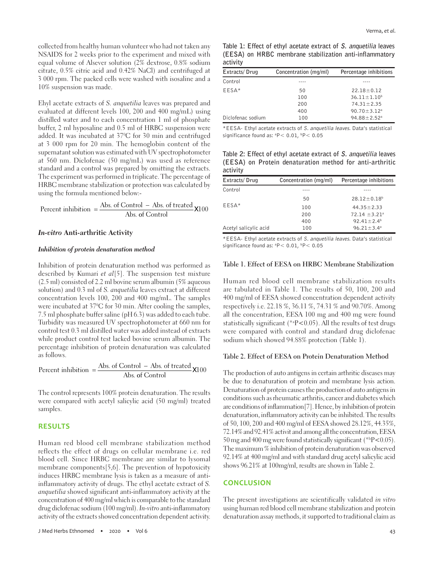collected from healthy human volunteer who had not taken any NSAIDS for 2 weeks prior to the experiment and mixed with equal volume of Alsever solution (2% dextrose, 0.8% sodium citrate, 0.5% citric acid and 0.42% NaCl) and centrifuged at 3 000 rpm. The packed cells were washed with isosaline and a 10% suspension was made.

Ehyl acetate extracts of S. anquetilia leaves was prepared and evaluated at different levels 100, 200 and 400 mg/mL) using distilled water and to each concentration 1 ml of phosphate buffer, 2 ml hyposaline and 0.5 ml of HRBC suspension were added. It was incubated at 370 C for 30 min and centrifuged at 3 000 rpm for 20 min. The hemoglobin content of the supernatant solution was estimated with UV spectrophotometer at 560 nm. Diclofenac (50 mg/mL) was used as reference standard and a control was prepared by omitting the extracts. The experiment was performed in triplicate. The percentage of HRBC membrane stabilization or protection was calculated by using the formula mentioned below:-

Percent inhibition = 
$$
\frac{\text{Abs. of Control} - \text{Abs. of treated}}{\text{Abs. of Control}}
$$
  $\times 100$ 

### *In-vitro* **Anti-arthritic Activity**

#### *Inhibition of protein denaturation method*

Inhibition of protein denaturation method was performed as described by Kumari et  $al[5]$ . The suspension test mixture (2.5 ml) consisted of 2.2 ml bovine serum albumin (5% aqueous solution) and 0.3 ml of S. anquetilia leaves extract at different concentration levels 100, 200 and 400 mg/mL. The samples were incubated at 370 C for 30 min. After cooling the samples, 7.5 ml phosphate buffer saline (pH 6.3) was added to each tube. Turbidity was measured UV spectrophotometer at 660 nm for control test 0.3 ml distilled water was added instead of extracts while product control test lacked bovine serum albumin. The percentage inhibition of protein denaturation was calculated as follows.

Percent inhibition  $=$   $\frac{\text{Abs. of Control} - \text{Abs. of treated}}{\text{Abs. of Control}}$  $\overline{a}$  $\frac{64}{\text{of Control}}$  X100

The control represents 100% protein denaturation. The results were compared with acetyl salicylic acid (50 mg/ml) treated samples.

#### **RESULTS**

Human red blood cell membrane stabilization method reflects the effect of drugs on cellular membrane i.e. red blood cell. Since HRBC membrane are similar to lysomal membrane components[5,6]. The prevention of hypotoxicity induces HRBC membrane lysis is taken as a measure of antiinflammatory activity of drugs. The ethyl acetate extract of S. anquetilia showed significant anti-inflammatory activity at the concentration of 400 mg/ml which is comparable to the standard drug diclofenac sodium (100 mg/ml). In-vitro anti-inflammatory activity of the extracts showed concentration dependent activity.

|          | Table 1: Effect of ethyl acetate extract of S. anguetilia leaves |
|----------|------------------------------------------------------------------|
|          | (EESA) on HRBC membrane stabilization anti-inflammatory          |
| activity |                                                                  |

| Extracts/Drug     | Concentration (mg/ml) | Percentage inhibitions        |
|-------------------|-----------------------|-------------------------------|
| Control           |                       |                               |
| EESA*             | 50                    | $22.18 \pm 0.12$              |
|                   | 100                   | $36.11 \pm 1.10^b$            |
|                   | 200                   | $74.31 \pm 2.35$              |
|                   | 400                   | $90.70 \pm 3.12$ <sup>a</sup> |
| Diclofenac sodium | 100                   | $94.88 \pm 2.52$ <sup>a</sup> |

\*EESA- Ethyl acetate extracts of S. anquetilia leaves. Data's statistical significance found as:  ${}^{a}P<$  0.01,  ${}^{b}P<$  0.05

**Table 2: Effect of ethyl acetate extract of S. anquetilia leaves (EESA) on Protein denaturation method for anti-arthritic activity**

| Extracts/Drug         | Concentration (mg/ml) | Percentage inhibitions |
|-----------------------|-----------------------|------------------------|
| Control               |                       |                        |
|                       | 50                    | $28.12 \pm 0.18^b$     |
| EESA*                 | 100                   | $44.35 \pm 2.33$       |
|                       | 200                   | $72.14 \pm 3.21^a$     |
|                       | 400                   | $92.41 \pm 2.4^b$      |
| Acetyl salicylic acid | 100                   | $96.21 \pm 3.4^a$      |

\*EESA- Ethyl acetate extracts of S. anquetilia leaves. Data's statistical significance found as:  ${}^{a}P$  < 0.01,  ${}^{b}P$  < 0.05

#### **Table 1. Effect of EESA on HRBC Membrane Stabilization**

Human red blood cell membrane stabilization results are tabulated in Table 1. The results of 50, 100, 200 and 400 mg/ml of EESA showed concentration dependent activity respectively i.e. 22.18 %, 36.11 %, 74.31 % and 90.70%. Among all the concentration, EESA 100 mg and 400 mg were found statistically significant (\*a P<0.05). All the results of test drugs were compared with control and standard drug diclofenac sodium which showed 94.88% protection (Table 1).

### **Table 2. Effect of EESA on Protein Denaturation Method**

The production of auto antigens in certain arthritic diseases may be due to denaturation of protein and membrane lysis action. Denaturation of protein causes the production of auto antigens in conditions such as rheumatic arthritis, cancer and diabetes which are conditions of inflammation[7]. Hence, by inhibition of protein denaturation, inflammatory activity can be inhibited. The results of 50, 100, 200 and 400 mg/ml of EESA showed 28.12%, 44.35%, 72.14% and 92.41% activit and among all the concentration, EESA 50 mg and 400 mg were found statistically significant (\* $P$ <0.05). The maximum % inhibition of protein denaturation was observed 92.14% at 400 mg/ml and with standard drug acetyl salicylic acid shows 96.21% at 100mg/ml, results are shown in Table 2.

### **CONCLUSION**

The present investigations are scientifically validated in vitro using human red blood cell membrane stabilization and protein denaturation assay methods, it supported to traditional claim as